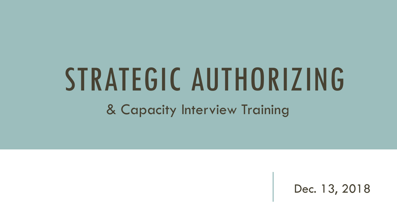# STRATEGIC AUTHORIZING

& Capacity Interview Training

Dec. 13, 2018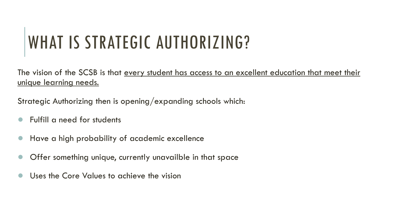# WHAT IS STRATEGIC AUTHORIZING?

The vision of the SCSB is that every student has access to an excellent education that meet their unique learning needs.

Strategic Authorizing then is opening/expanding schools which:

- Fulfill a need for students
- Have a high probability of academic excellence
- Offer something unique, currently unavailble in that space
- Uses the Core Values to achieve the vision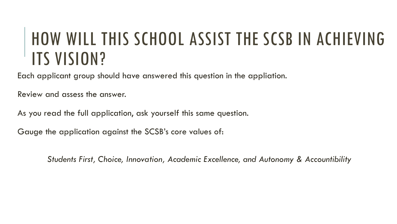#### HOW WILL THIS SCHOOL ASSIST THE SCSB IN ACHIEVING ITS VISION?

Each applicant group should have answered this question in the appliation.

Review and assess the answer.

As you read the full application, ask yourself this same question.

Gauge the application against the SCSB's core values of:

*Students First, Choice, Innovation, Academic Excellence, and Autonomy & Accountibility*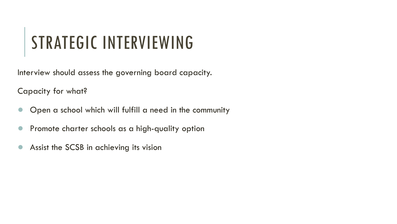### STRATEGIC INTERVIEWING

Interview should assess the governing board capacity.

Capacity for what?

- Open a school which will fulfill a need in the community
- Promote charter schools as a high-quality option
- Assist the SCSB in achieving its vision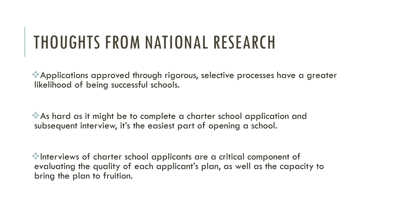#### THOUGHTS FROM NATIONAL RESEARCH

Applications approved through rigorous, selective processes have a greater likelihood of being successful schools.

As hard as it might be to complete a charter school application and subsequent interview, it's the easiest part of opening a school.

Interviews of charter school applicants are a critical component of evaluating the quality of each applicant's plan, as well as the capacity to bring the plan to fruition.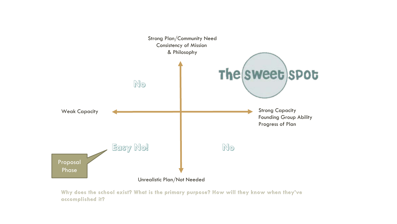

**Why does the school exist? What is the primary purpose? How will they know when they've accomplished it?**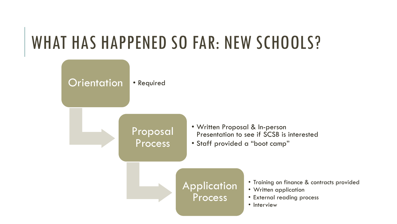#### WHAT HAS HAPPENED SO FAR: NEW SCHOOLS?

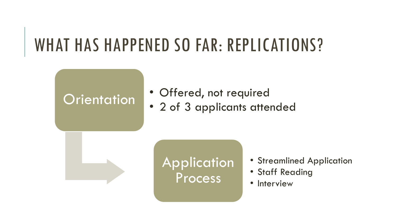#### WHAT HAS HAPPENED SO FAR: REPLICATIONS?

#### **Orientation**

- Offered, not required
- 2 of 3 applicants attended



#### **Application Process**

- Streamlined Application
- Staff Reading
- Interview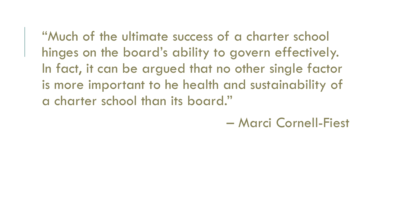"Much of the ultimate success of a charter school hinges on the board's ability to govern effectively. In fact, it can be argued that no other single factor is more important to he health and sustainability of a charter school than its board."

– Marci Cornell-Fiest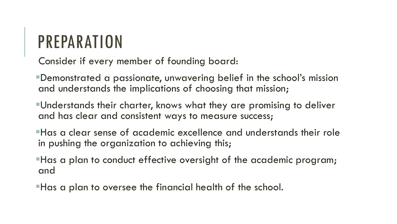#### PREPARATION

Consider if every member of founding board:

Demonstrated a passionate, unwavering belief in the school's mission and understands the implications of choosing that mission;

Understands their charter, knows what they are promising to deliver and has clear and consistent ways to measure success;

Has a clear sense of academic excellence and understands their role in pushing the organization to achieving this;

Has a plan to conduct effective oversight of the academic program; and

Has a plan to oversee the financial health of the school.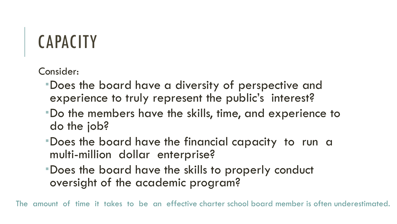### CAPACITY

Consider:

- Does the board have a diversity of perspective and experience to truly represent the public's interest?
- Do the members have the skills, time, and experience to do the job?
- Does the board have the financial capacity to run a multi-million dollar enterprise?
- Does the board have the skills to properly conduct oversight of the academic program?

The amount of time it takes to be an effective charter school board member is often underestimated.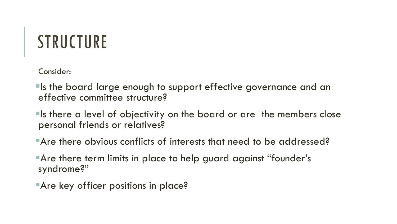#### **STRUCTURE**

Consider:

Is the board large enough to support effective governance and an effective committee structure?

Is there a level of objectivity on the board or are the members close personal friends or relatives?

Are there obvious conflicts of interests that need to be addressed?

Are there term limits in place to help guard against "founder's syndrome?"

**Are key officer positions in place?**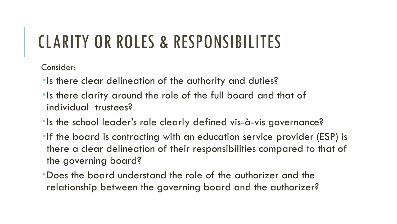#### CLARITY OR ROLES & RESPONSIBILITES

Consider:

- **Is there clear delineation of the authority and duties?**
- **Is there clarity around the role of the full board and that of** individual trustees?
- **Is the school leader's role clearly defined vis-à-vis governance?**
- **If the board is contracting with an education service provider (ESP) is** there a clear delineation of their responsibilities compared to that of the governing board?
- Does the board understand the role of the authorizer and the relationship between the governing board and the authorizer?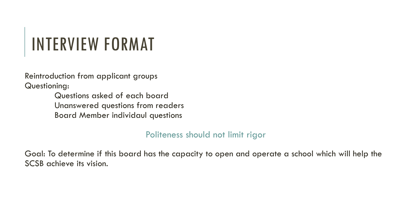## INTERVIEW FORMAT

Reintroduction from applicant groups Questioning:

> Questions asked of each board Unanswered questions from readers Board Member individaul questions

> > Politeness should not limit rigor

Goal: To determine if this board has the capacity to open and operate a school which will help the SCSB achieve its vision.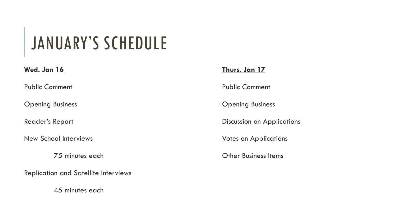### JANUARY'S SCHEDULE

#### **Wed. Jan 16**

Public Comment

Opening Business

Reader's Report

New School Interviews

75 minutes each

Replication and Satellite Interviews

45 minutes each

#### **Thurs. Jan 17**

Public Comment

Opening Business

Discussion on Applications

Votes on Applications

Other Business Items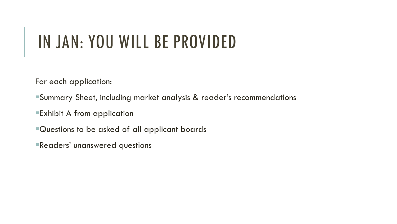#### IN JAN: YOU WILL BE PROVIDED

For each application:

- Summary Sheet, including market analysis & reader's recommendations
- Exhibit A from application
- Questions to be asked of all applicant boards
- Readers' unanswered questions